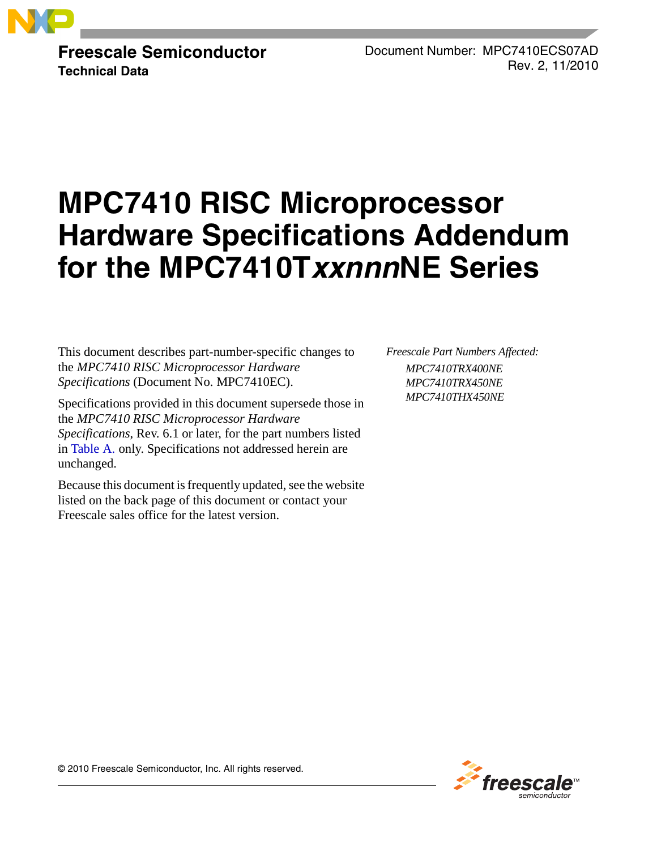

**Freescale Semiconductor Technical Data**

Document Number: MPC7410ECS07AD Rev. 2, 11/2010

# **MPC7410 RISC Microprocessor Hardware Specifications Addendum for the MPC7410TxxnnnNE Series**

This document describes part-number-specific changes to the *MPC7410 RISC Microprocessor Hardware Specifications* (Document No. MPC7410EC).

Specifications provided in this document supersede those in the *MPC7410 RISC Microprocessor Hardware Specifications*, Rev. 6.1 or later, for the part numbers listed in [Table A.](#page-1-0) only. Specifications not addressed herein are unchanged.

Because this document is frequently updated, see the website listed on the back page of this document or contact your Freescale sales office for the latest version.

*Freescale Part Numbers Affected: MPC7410TRX400NE MPC7410TRX450NE MPC7410THX450NE*



© 2010 Freescale Semiconductor, Inc. All rights reserved.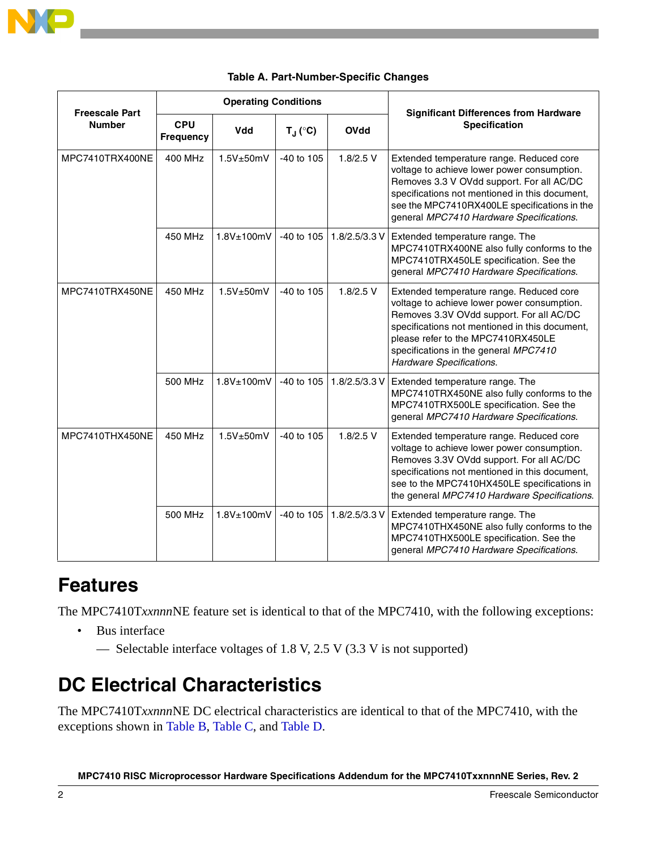

<span id="page-1-0"></span>

| <b>Freescale Part</b> | <b>Operating Conditions</b>    |                 |                  |               | <b>Significant Differences from Hardware</b>                                                                                                                                                                                                                                                     |
|-----------------------|--------------------------------|-----------------|------------------|---------------|--------------------------------------------------------------------------------------------------------------------------------------------------------------------------------------------------------------------------------------------------------------------------------------------------|
| <b>Number</b>         | <b>CPU</b><br><b>Frequency</b> | Vdd             | $T_J (^\circ C)$ | <b>OVdd</b>   | <b>Specification</b>                                                                                                                                                                                                                                                                             |
| MPC7410TRX400NE       | 400 MHz                        | 1.5V±50mV       | -40 to 105       | $1.8/2.5$ V   | Extended temperature range. Reduced core<br>voltage to achieve lower power consumption.<br>Removes 3.3 V OVdd support. For all AC/DC<br>specifications not mentioned in this document,<br>see the MPC7410RX400LE specifications in the<br>general MPC7410 Hardware Specifications.               |
|                       | 450 MHz                        | 1.8V±100mV      | -40 to 105       | 1.8/2.5/3.3 V | Extended temperature range. The<br>MPC7410TRX400NE also fully conforms to the<br>MPC7410TRX450LE specification. See the<br>general MPC7410 Hardware Specifications.                                                                                                                              |
| MPC7410TRX450NE       | 450 MHz                        | $1.5V \pm 50mV$ | $-40$ to $105$   | $1.8/2.5$ V   | Extended temperature range. Reduced core<br>voltage to achieve lower power consumption.<br>Removes 3.3V OVdd support. For all AC/DC<br>specifications not mentioned in this document,<br>please refer to the MPC7410RX450LE<br>specifications in the general MPC7410<br>Hardware Specifications. |
|                       | 500 MHz                        | 1.8V±100mV      | $-40$ to $105$   | 1.8/2.5/3.3 V | Extended temperature range. The<br>MPC7410TRX450NE also fully conforms to the<br>MPC7410TRX500LE specification. See the<br>general MPC7410 Hardware Specifications.                                                                                                                              |
| MPC7410THX450NE       | 450 MHz                        | 1.5V±50mV       | -40 to 105       | $1.8/2.5$ V   | Extended temperature range. Reduced core<br>voltage to achieve lower power consumption.<br>Removes 3.3V OVdd support. For all AC/DC<br>specifications not mentioned in this document,<br>see to the MPC7410HX450LE specifications in<br>the general MPC7410 Hardware Specifications.             |
|                       | 500 MHz                        | $1.8V$ ±100mV   | $-40$ to $105$   | 1.8/2.5/3.3 V | Extended temperature range. The<br>MPC7410THX450NE also fully conforms to the<br>MPC7410THX500LE specification. See the<br>general MPC7410 Hardware Specifications.                                                                                                                              |

### **Table A. Part-Number-Specific Changes**

# **Features**

The MPC7410T*xxnnn*NE feature set is identical to that of the MPC7410, with the following exceptions:

- Bus interface
	- Selectable interface voltages of 1.8 V, 2.5 V (3.3 V is not supported)

# **DC Electrical Characteristics**

The MPC7410T*xxnnn*NE DC electrical characteristics are identical to that of the MPC7410, with the exceptions shown in [Table B](#page-2-0), [Table C,](#page-2-1) and Table D.

**MPC7410 RISC Microprocessor Hardware Specifications Addendum for the MPC7410TxxnnnNE Series, Rev. 2**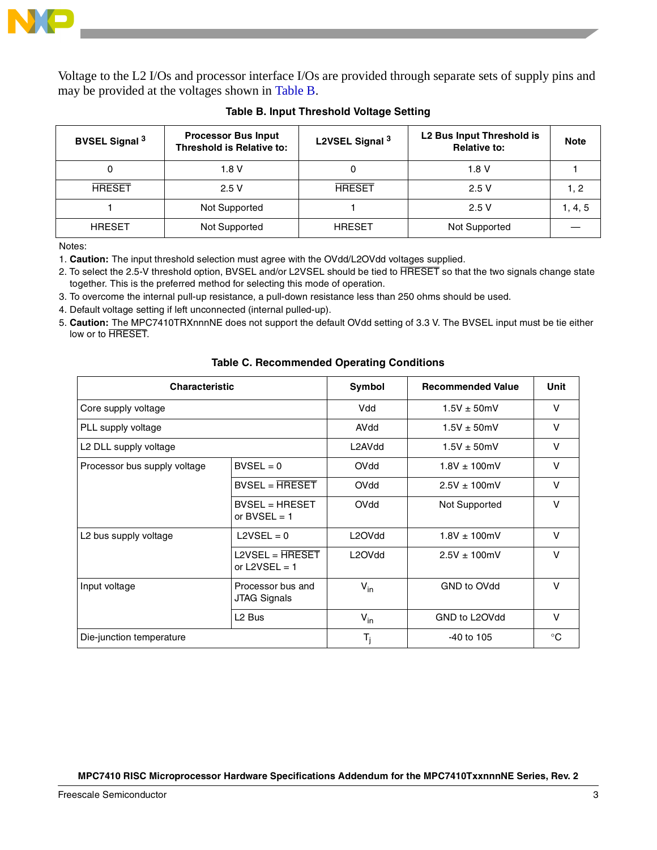

Voltage to the L2 I/Os and processor interface I/Os are provided through separate sets of supply pins and may be provided at the voltages shown in [Table B.](#page-2-0)

<span id="page-2-0"></span>

| <b>BVSEL Signal 3</b> | <b>Processor Bus Input</b><br><b>Threshold is Relative to:</b> | L2VSEL Signal 3 | L2 Bus Input Threshold is<br><b>Relative to:</b> | <b>Note</b> |
|-----------------------|----------------------------------------------------------------|-----------------|--------------------------------------------------|-------------|
|                       | 1.8 V                                                          |                 | 1.8 V                                            |             |
| <b>HRESET</b>         | 2.5V                                                           | <b>HRESET</b>   | 2.5V                                             |             |
|                       | Not Supported                                                  |                 | 2.5V                                             | 1, 4, 5     |
| <b>HRESET</b>         | Not Supported                                                  | <b>HRESET</b>   | Not Supported                                    |             |

### **Table B. Input Threshold Voltage Setting**

Notes:

1. **Caution:** The input threshold selection must agree with the OVdd/L2OVdd voltages supplied.

- 2. To select the 2.5-V threshold option, BVSEL and/or L2VSEL should be tied to HRESET so that the two signals change state together. This is the preferred method for selecting this mode of operation.
- 3. To overcome the internal pull-up resistance, a pull-down resistance less than 250 ohms should be used.
- 4. Default voltage setting if left unconnected (internal pulled-up).
- 5. **Caution:** The MPC7410TRXnnnNE does not support the default OVdd setting of 3.3 V. The BVSEL input must be tie either low or to HRESET.

<span id="page-2-1"></span>

| <b>Characteristic</b>             |                                    | Symbol                          | <b>Recommended Value</b> | Unit<br>V<br>$\vee$<br>v |
|-----------------------------------|------------------------------------|---------------------------------|--------------------------|--------------------------|
| Core supply voltage               |                                    | Vdd                             | $1.5V \pm 50$ mV         |                          |
| PLL supply voltage                |                                    | AVdd                            | $1.5V \pm 50$ mV         |                          |
| L2 DLL supply voltage             |                                    | L2AVdd                          | $1.5V \pm 50mV$          |                          |
| Processor bus supply voltage      | $BVSEL = 0$                        | OVdd                            | $1.8V \pm 100$ mV        | v                        |
|                                   | $BVSEL = HRESET$                   | OVdd                            | $2.5V \pm 100$ mV        | V                        |
|                                   | $BVSEL = HREF$<br>or BVSEL = $1$   | OVdd                            | Not Supported            | V                        |
| L <sub>2</sub> bus supply voltage | $L2VSEL = 0$                       | L <sub>2</sub> OV <sub>dd</sub> | $1.8V \pm 100$ mV        | V                        |
|                                   | $L2VSEL = HREF$<br>or $L2VSEL = 1$ | L2OV <sub>dd</sub>              | $2.5V \pm 100$ mV        | v                        |
| Input voltage                     | Processor bus and<br>JTAG Signals  | $V_{in}$                        | GND to OVdd              | V                        |
|                                   | L <sub>2</sub> Bus                 | $V_{in}$                        | GND to L2OVdd            | V                        |
| Die-junction temperature          |                                    | $T_i$                           | $-40$ to $105$           | $^{\circ}C$              |

### **Table C. Recommended Operating Conditions**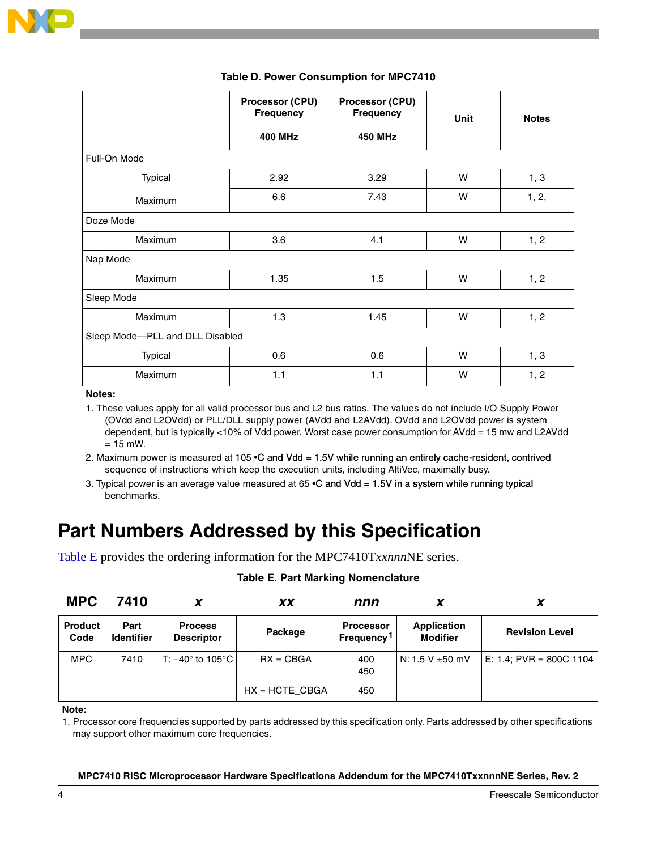|                                 | Processor (CPU)<br><b>Frequency</b> | Processor (CPU)<br><b>Frequency</b> | Unit | <b>Notes</b> |  |
|---------------------------------|-------------------------------------|-------------------------------------|------|--------------|--|
|                                 | <b>400 MHz</b>                      | <b>450 MHz</b>                      |      |              |  |
| Full-On Mode                    |                                     |                                     |      |              |  |
| Typical                         | 2.92                                | 3.29                                | W    | 1, 3         |  |
| Maximum                         | 6.6                                 | 7.43                                | W    | 1, 2,        |  |
| Doze Mode                       |                                     |                                     |      |              |  |
| <b>Maximum</b>                  | 3.6                                 | 4.1                                 | W    | 1, 2         |  |
| Nap Mode                        |                                     |                                     |      |              |  |
| Maximum                         | 1.35                                | 1.5                                 | W    | 1, 2         |  |
| Sleep Mode                      |                                     |                                     |      |              |  |
| Maximum                         | 1.3                                 | 1.45                                | W    | 1, 2         |  |
| Sleep Mode-PLL and DLL Disabled |                                     |                                     |      |              |  |
| <b>Typical</b>                  | 0.6                                 | 0.6                                 | W    | 1, 3         |  |
| Maximum                         | $1.1$                               | 1.1                                 | W    | 1, 2         |  |

### **Table D. Power Consumption for MPC7410**

**Notes:**

1. These values apply for all valid processor bus and L2 bus ratios. The values do not include I/O Supply Power (OVdd and L2OVdd) or PLL/DLL supply power (AVdd and L2AVdd). OVdd and L2OVdd power is system dependent, but is typically <10% of Vdd power. Worst case power consumption for AVdd = 15 mw and L2AVdd  $= 15$  mW.

2. Maximum power is measured at 105 •C and Vdd = 1.5V while running an entirely cache-resident, contrived sequence of instructions which keep the execution units, including AltiVec, maximally busy.

3. Typical power is an average value measured at  $65$   $\textdegree$ C and Vdd = 1.5V in a system while running typical benchmarks.

# **Part Numbers Addressed by this Specification**

<span id="page-3-0"></span>[Table E](#page-3-0) provides the ordering information for the MPC7410T*xxnnn*NE series.

| <b>MPC</b>             | 7410                      |                                     | <b>XX</b>        | nnn                                  |                                       | ↗                       |
|------------------------|---------------------------|-------------------------------------|------------------|--------------------------------------|---------------------------------------|-------------------------|
| <b>Product</b><br>Code | Part<br><b>Identifier</b> | <b>Process</b><br><b>Descriptor</b> | Package          | <b>Processor</b><br><b>Frequency</b> | <b>Application</b><br><b>Modifier</b> | <b>Revision Level</b>   |
| <b>MPC</b>             | 7410                      | T: $-40^\circ$ to 105°C l           | $RX = CBGA$      | 400<br>450                           | l N: 1.5 V ±50 mV                     | E: 1.4; PVR = 800C 1104 |
|                        |                           |                                     | $HX = HCTE$ CBGA | 450                                  |                                       |                         |

### **Table E. Part Marking Nomenclature**

**Note:**

1. Processor core frequencies supported by parts addressed by this specification only. Parts addressed by other specifications may support other maximum core frequencies.

### **MPC7410 RISC Microprocessor Hardware Specifications Addendum for the MPC7410TxxnnnNE Series, Rev. 2**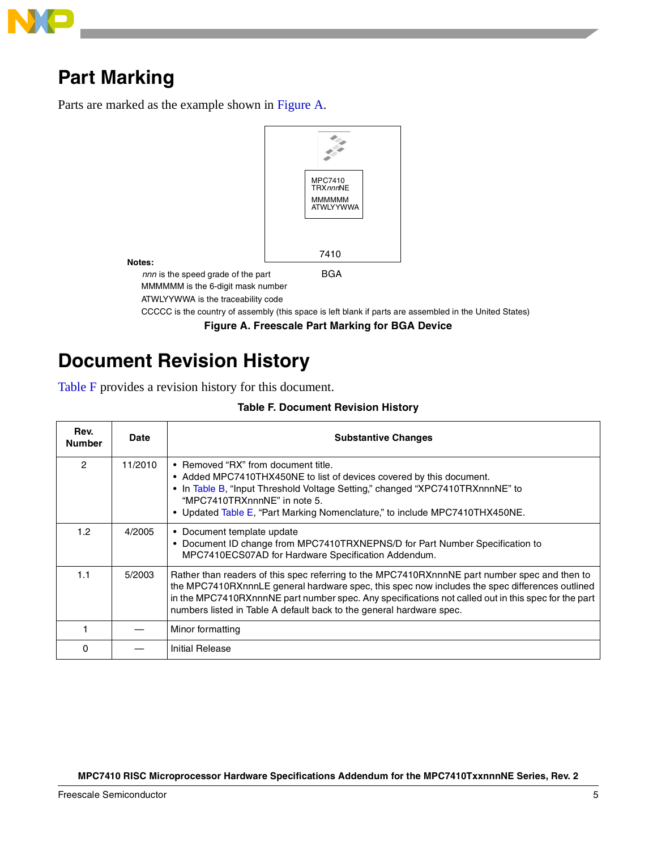

# **Part Marking**

Parts are marked as the example shown in [Figure A](#page-4-0).



**Notes:**

MMMMMM is the 6-digit mask number

ATWLYYWWA is the traceability code

CCCCC is the country of assembly (this space is left blank if parts are assembled in the United States)

**Figure A. Freescale Part Marking for BGA Device**

# <span id="page-4-0"></span>**Document Revision History**

Table F provides a revision history for this document.

### **Table F. Document Revision History**

| Rev.<br><b>Number</b> | <b>Date</b> | <b>Substantive Changes</b>                                                                                                                                                                                                                                                                                                                                                     |
|-----------------------|-------------|--------------------------------------------------------------------------------------------------------------------------------------------------------------------------------------------------------------------------------------------------------------------------------------------------------------------------------------------------------------------------------|
| 2                     | 11/2010     | • Removed "RX" from document title.<br>• Added MPC7410THX450NE to list of devices covered by this document.<br>• In Table B, "Input Threshold Voltage Setting," changed "XPC7410TRXnnnNE" to<br>"MPC7410TRXnnnNE" in note 5.<br>• Updated Table E, "Part Marking Nomenclature," to include MPC7410THX450NE.                                                                    |
| 1.2                   | 4/2005      | • Document template update<br>• Document ID change from MPC7410TRXNEPNS/D for Part Number Specification to<br>MPC7410ECS07AD for Hardware Specification Addendum.                                                                                                                                                                                                              |
| 1.1                   | 5/2003      | Rather than readers of this spec referring to the MPC7410RXnnnNE part number spec and then to<br>the MPC7410RXnnnLE general hardware spec, this spec now includes the spec differences outlined<br>in the MPC7410RXnnnNE part number spec. Any specifications not called out in this spec for the part<br>numbers listed in Table A default back to the general hardware spec. |
|                       |             | Minor formatting                                                                                                                                                                                                                                                                                                                                                               |
| 0                     |             | Initial Release                                                                                                                                                                                                                                                                                                                                                                |

**MPC7410 RISC Microprocessor Hardware Specifications Addendum for the MPC7410TxxnnnNE Series, Rev. 2**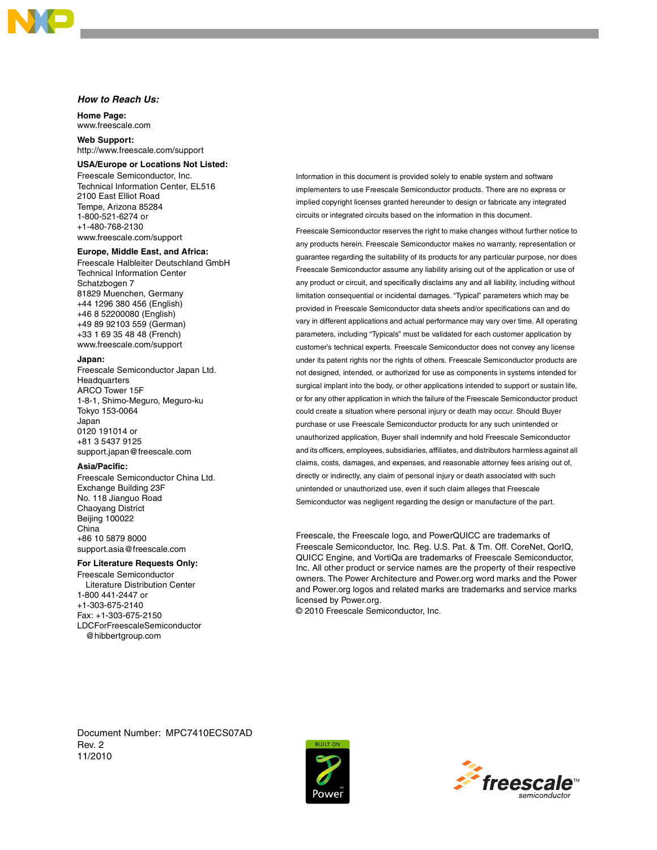#### **How to Reach Us:**

**Home Page:**  www.freescale.com

**Web Support:**  http://www.freescale.com/support

#### **USA/Europe or Locations Not Listed:**

Freescale Semiconductor, Inc. Technical Information Center, EL516 2100 East Elliot Road Tempe, Arizona 85284 1-800-521-6274 or +1-480-768-2130 www.freescale.com/support

#### **Europe, Middle East, and Africa:**

Freescale Halbleiter Deutschland GmbH Technical Information Center Schatzbogen 7 81829 Muenchen, Germany +44 1296 380 456 (English) +46 8 52200080 (English) +49 89 92103 559 (German) +33 1 69 35 48 48 (French) www.freescale.com/support

#### **Japan:**

Freescale Semiconductor Japan Ltd. Headquarters ARCO Tower 15F 1-8-1, Shimo-Meguro, Meguro-ku Tokyo 153-0064 Japan 0120 191014 or +81 3 5437 9125 support.japan@freescale.com

#### **Asia/Pacific:**

Freescale Semiconductor China Ltd. Exchange Building 23F No. 118 Jianguo Road Chaoyang District Beijing 100022 China +86 10 5879 8000 support.asia@freescale.com

#### **For Literature Requests Only:**

Freescale Semiconductor Literature Distribution Center 1-800 441-2447 or +1-303-675-2140 Fax: +1-303-675-2150 LDCForFreescaleSemiconductor @hibbertgroup.com

Information in this document is provided solely to enable system and software implementers to use Freescale Semiconductor products. There are no express or implied copyright licenses granted hereunder to design or fabricate any integrated circuits or integrated circuits based on the information in this document.

Freescale Semiconductor reserves the right to make changes without further notice to any products herein. Freescale Semiconductor makes no warranty, representation or guarantee regarding the suitability of its products for any particular purpose, nor does Freescale Semiconductor assume any liability arising out of the application or use of any product or circuit, and specifically disclaims any and all liability, including without limitation consequential or incidental damages. "Typical" parameters which may be provided in Freescale Semiconductor data sheets and/or specifications can and do vary in different applications and actual performance may vary over time. All operating parameters, including "Typicals" must be validated for each customer application by customer's technical experts. Freescale Semiconductor does not convey any license under its patent rights nor the rights of others. Freescale Semiconductor products are not designed, intended, or authorized for use as components in systems intended for surgical implant into the body, or other applications intended to support or sustain life, or for any other application in which the failure of the Freescale Semiconductor product could create a situation where personal injury or death may occur. Should Buyer purchase or use Freescale Semiconductor products for any such unintended or unauthorized application, Buyer shall indemnify and hold Freescale Semiconductor and its officers, employees, subsidiaries, affiliates, and distributors harmless against all claims, costs, damages, and expenses, and reasonable attorney fees arising out of, directly or indirectly, any claim of personal injury or death associated with such unintended or unauthorized use, even if such claim alleges that Freescale Semiconductor was negligent regarding the design or manufacture of the part.

Freescale, the Freescale logo, and PowerQUICC are trademarks of Freescale Semiconductor, Inc. Reg. U.S. Pat. & Tm. Off. CoreNet, QorIQ, QUICC Engine, and VortiQa are trademarks of Freescale Semiconductor, Inc. All other product or service names are the property of their respective owners. The Power Architecture and Power.org word marks and the Power and Power.org logos and related marks are trademarks and service marks licensed by Power.org.

© 2010 Freescale Semiconductor, Inc.

Document Number: MPC7410ECS07AD Rev. 2 11/2010